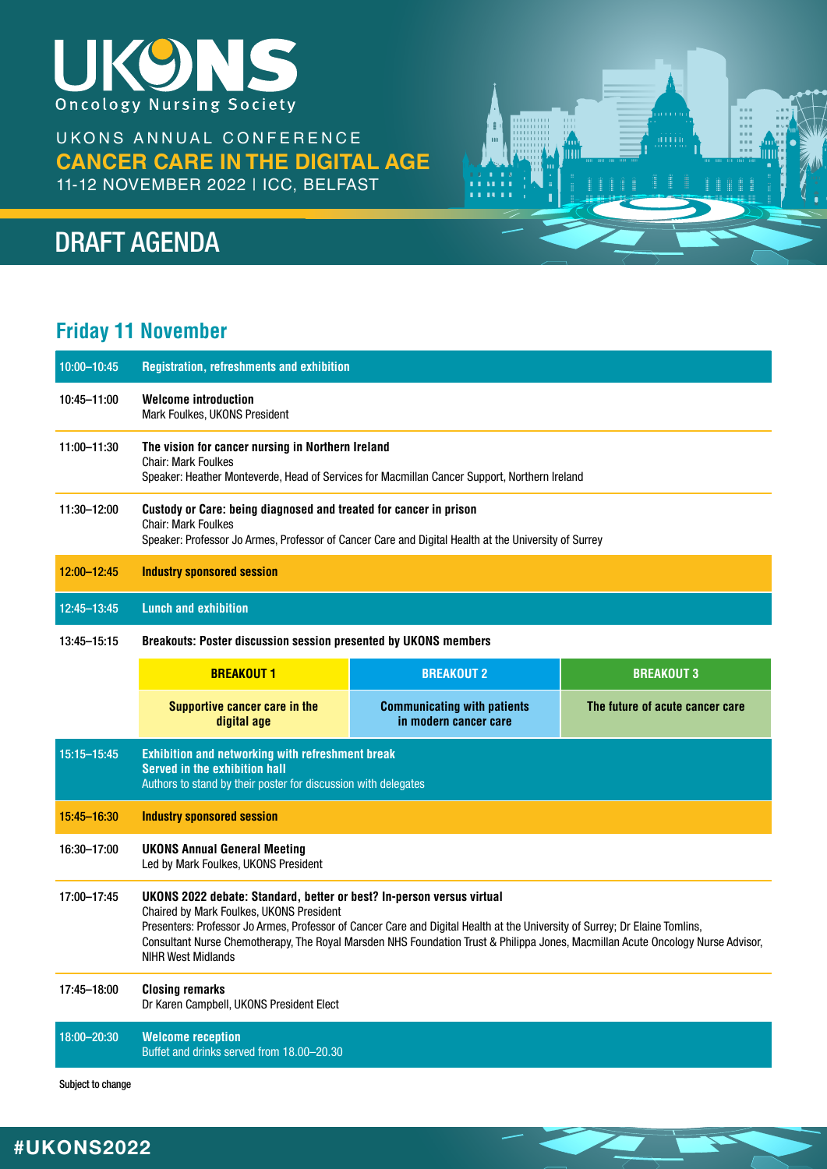

UKONS ANNUAL CONFERENCE **CANCER CARE IN THE DIGITAL AGE** 11-12 NOVEMBER 2022 | ICC, BELFAST

# DRAFT AGENDA

### **Friday 11 November**